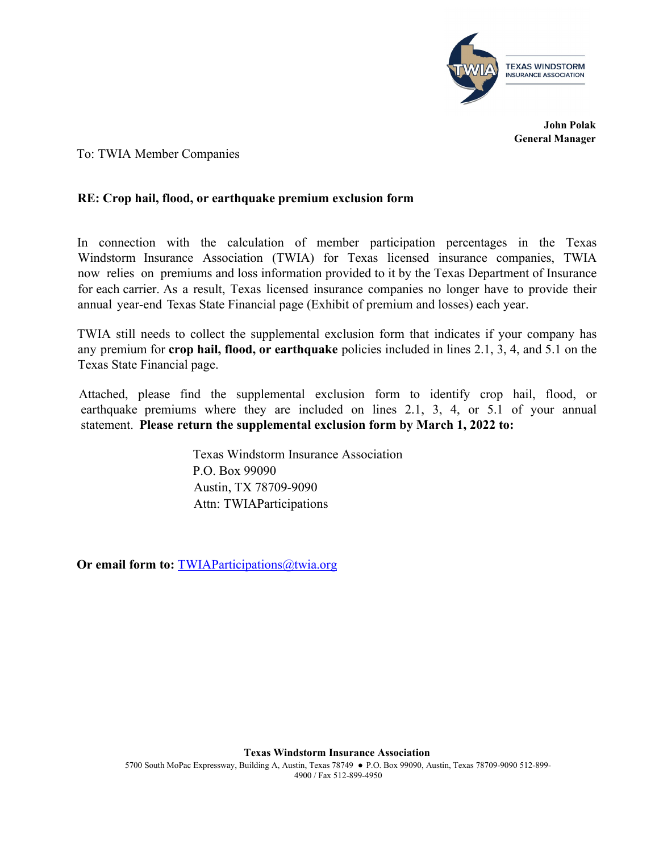

**John Polak General Manager** 

To: TWIA Member Companies

## **RE: Crop hail, flood, or earthquake premium exclusion form**

In connection with the calculation of member participation percentages in the Texas Windstorm Insurance Association (TWIA) for Texas licensed insurance companies, TWIA now relies on premiums and loss information provided to it by the Texas Department of Insurance for each carrier. As a result, Texas licensed insurance companies no longer have to provide their annual year-end Texas State Financial page (Exhibit of premium and losses) each year.

TWIA still needs to collect the supplemental exclusion form that indicates if your company has any premium for **crop hail, flood, or earthquake** policies included in lines 2.1, 3, 4, and 5.1 on the Texas State Financial page.

Attached, please find the supplemental exclusion form to identify crop hail, flood, or earthquake premiums where they are included on lines 2.1, 3, 4, or 5.1 of your annual statement. **Please return the supplemental exclusion form by March 1, 2022 to:**

> Texas Windstorm Insurance Association P.O. Box 99090 Austin, TX 78709-9090 Attn: TWIAParticipations

**Or email form to: TWIAParticipations@twia.org**